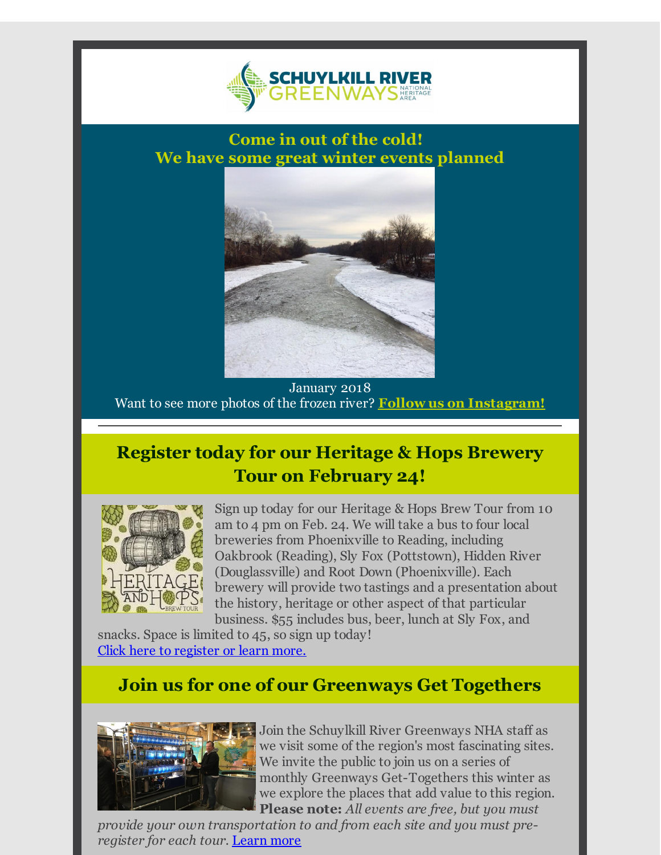

**Come in out of the cold! We have some great winter events planned**



January 2018 Want to see more photos of the frozen river? **Follow us on [Instagram!](http://r20.rs6.net/tn.jsp?f=001xbn01KBftfGCNmgU38lzUS-jEKMLSCUqo1W4bLYASBwvRriVXj8ACYjIJseOQlrOhkGfj2QQE1h0M-4giqvm8o-wJ1jvK0rDkjkv6PXzxMEAFDR7f9_vKe-GrxGVj3eUT6CKswPTsjzLX9ZDnKjw-p7pUTMfgNI2uAT_5Fe5rnYi-cvx8bgxEkzGJ-nnhVp6BnTjS1aXe93vz8Ussx3TLQ==&c=&ch=)**

### **Register today for our Heritage & Hops Brewery Tour on February 24!**



Sign up today for our Heritage & Hops Brew Tour from 10 am to 4 pm on Feb. 24. We will take a bus to four local breweries from Phoenixville to Reading, including Oakbrook (Reading), Sly Fox (Pottstown), Hidden River (Douglassville) and Root Down (Phoenixville). Each brewery will provide two tastings and a presentation about the history, heritage or other aspect of that particular business. \$55 includes bus, beer, lunch at Sly Fox, and

snacks. Space is limited to 45, so sign up today! Click here to [register](http://r20.rs6.net/tn.jsp?f=001xbn01KBftfGCNmgU38lzUS-jEKMLSCUqo1W4bLYASBwvRriVXj8ACYjIJseOQlrOCZbs8OS-TU3J2hq13JUKrX5sL8tNFYV4m4OQ1NE9iKc7cBsyAQrv5mpFxqkKlMc_DnEKGet3U8ec_rhp216e9l2zSffFHUjBwKKsiDbrVHMSadY8XkNpKj-kDNOIdYBHNW3ov1j2GhrV7zyjzwMGVg==&c=&ch=) or learn more.

#### **Join us for one of our Greenways Get Togethers**



Join the Schuylkill River Greenways NHA staff as we visit some of the region's most fascinating sites. We invite the public to join us on a series of monthly Greenways Get-Togethers this winter as we explore the places that add value to this region. **Please note:** *All events are free, but you must*

*provide your own transportation to and from each site and you must preregister for each tour.* [Learn](http://r20.rs6.net/tn.jsp?f=001xbn01KBftfGCNmgU38lzUS-jEKMLSCUqo1W4bLYASBwvRriVXj8ACYjIJseOQlrObMHvA3qOpv1c-qT5gJFqxai_jGAcwEffJG_R8CLxV1Rq_WBiKPRlGN2tt8XIFezfOCFRJM5VkTF4yh5dMv_1q3McH6YV11RMHbtH58Iyb9ZX77MYBeTIHXUrayn6_VQ63ZLAqjhxZoWG1XKQaBNEwA==&c=&ch=) more